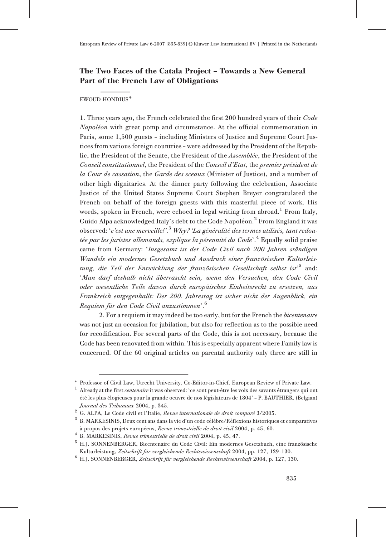## The Two Faces of the Catala Project – Towards a New General Part of the French Law of Obligations

## EWOUD HONDIUS\*

1. Three years ago, the French celebrated the first 200 hundred years of their Code Napoléon with great pomp and circumstance. At the official commemoration in Paris, some 1,500 guests – including Ministers of Justice and Supreme Court Justices from various foreign countries – were addressed by the President of the Republic, the President of the Senate, the President of the Assemblée, the President of the Conseil constitutionnel, the President of the Conseil d'Etat, the premier président de la Cour de cassation, the Garde des sceaux (Minister of Justice), and a number of other high dignitaries. At the dinner party following the celebration, Associate Justice of the United States Supreme Court Stephen Breyer congratulated the French on behalf of the foreign guests with this masterful piece of work. His words, spoken in French, were echoed in legal writing from abroad.<sup>1</sup> From Italy, Guido Alpa acknowledged Italy's debt to the Code Napoléon.<sup>2</sup> From England it was observed: '*c'est une merveille!'.<sup>3</sup> Why? 'La généralité des termes utilisés, tant redou*tée par les juristes allemands, explique la pérennité du Code<sup> $,4$ </sup> Equally solid praise came from Germany: 'Insgesamt ist der Code Civil nach 200 Jahren ständigen Wandels ein modernes Gesetzbuch und Ausdruck einer französischen Kulturleistung, die Teil der Entwicklung der französischen Gesellschaft selbst ist<sup>,5</sup> and: 'Man darf deshalb nicht überrascht sein, wenn den Versuchen, den Code Civil oder wesentliche Teile davon durch europäisches Einheitsrecht zu ersetzen, aus Frankreich entgegenhallt: Der 200. Jahrestag ist sicher nicht der Augenblick, ein Requiem für den Code Civil anzustimmen'.<sup>6</sup>

2. For a requiem it may indeed be too early, but for the French the bicentenaire was not just an occasion for jubilation, but also for reflection as to the possible need for recodification. For several parts of the Code, this is not necessary, because the Code has been renovated from within. This is especially apparent where Family law is concerned. Of the 60 original articles on parental authority only three are still in

<sup>\*</sup> Professor of Civil Law, Utrecht University, Co-Editor-in-Chief, European Review of Private Law.

Already at the first *centenaire* it was observed: 'ce sont peut-être les voix des savants étrangers qui ont ´ete´ les plus e´logieuses pour la grande oeuvre de nos le´gislateurs de 1804' – P. BAUTHIER, (Belgian) Journal des Tribunaux 2004, p. 345.

<sup>2</sup> G. ALPA, Le Code civil et l'Italie, Revue internationale de droit compare´ 3/2005.

<sup>&</sup>lt;sup>3</sup> B. MARKESINIS, Deux cent ans dans la vie d'un code célèbre/Réflexions historiques et comparatives à propos des projets européens, Revue trimestrielle de droit civil 2004, p. 45, 60.

 $4$  B. MARKESINIS, Revue trimestrielle de droit civil 2004, p. 45, 47.

 $<sup>5</sup>$  H.J. SONNENBERGER, Bicentenaire du Code Civil: Ein modernes Gesetzbuch, eine französische</sup> Kulturleistung, Zeitschrift für vergleichende Rechtswissenschaft 2004, pp. 127, 129-130.

 $^6\,$  H.J. SONNENBERGER, Zeitschrift für vergleichende Rechtswissenschaft 2004, p. 127, 130.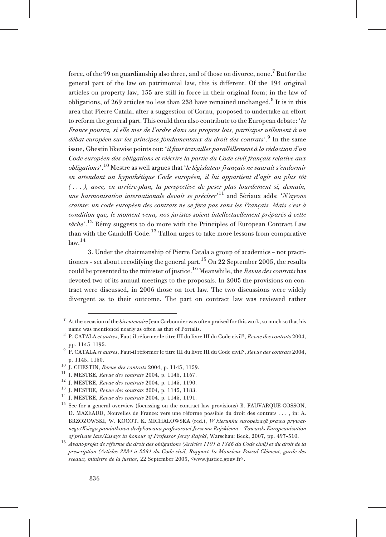force, of the 99 on guardianship also three, and of those on divorce, none.7 But for the general part of the law on patrimonial law, this is different. Of the 194 original articles on property law, 155 are still in force in their original form; in the law of obligations, of 269 articles no less than 238 have remained unchanged.<sup>8</sup> It is in this area that Pierre Catala, after a suggestion of Cornu, proposed to undertake an effort to reform the general part. This could then also contribute to the European debate: ' $la$ France pourra, si elle met de l'ordre dans ses propres lois, participer utilement à un débat européen sur les principes fondamentaux du droit des contrats'.<sup>9</sup> In the same issue, Ghestin likewise points out: 'il faut travailler paralle`llement à la rédaction d'un Code européen des obligations et réécrire la partie du Code civil français relative aux *obligations*<sup> $2,10$ </sup> Mestre as well argues that *'le législateur français ne saurait s'endormir* en attendant un hypothétique Code européen, il lui appartient d'agir au plus tôt  $( \ldots )$ , avec, en arrière-plan, la perspective de peser plus lourdement si, demain, une harmonisation internationale devait se préciser' $^{11}$  and Sériaux adds: 'N'ayons crainte: un code européen des contrats ne se fera pas sans les Français. Mais c'est à condition que, le moment venu, nos juristes soient intellectuellement préparés à cette tâche'.<sup>12</sup> Rémy suggests to do more with the Principles of European Contract Law than with the Gandolfi Code.13 Tallon urges to take more lessons from comparative  $law.<sup>14</sup>$ 

3. Under the chairmanship of Pierre Catala a group of academics – not practitioners - set about recodifying the general part.<sup>15</sup> On 22 September 2005, the results could be presented to the minister of justice.16 Meanwhile, the Revue des contrats has devoted two of its annual meetings to the proposals. In 2005 the provisions on contract were discussed, in 2006 those on tort law. The two discussions were widely divergent as to their outcome. The part on contract law was reviewed rather

 $7<sup>7</sup>$  At the occasion of the *bicentenaire* Jean Carbonnier was often praised for this work, so much so that his name was mentioned nearly as often as that of Portalis.

<sup>8</sup> P. CATALA et autres, Faut-il réformer le titre III du livre III du Code civil?, Revue des contrats 2004, pp. 1145–1195.

P. CATALA et autres, Faut-il réformer le titre III du livre III du Code civil?, Revue des contrats 2004, p. 1145, 1150.

 $^{10}$  J. GHESTIN, *Revue des contrats* 2004, p. 1145, 1159.

<sup>11</sup> J. MESTRE, Revue des contrats 2004, p. 1145, 1167.

 $12$  J. MESTRE, *Revue des contrats* 2004, p. 1145, 1190.

<sup>13</sup> J. MESTRE, Revue des contrats 2004, p. 1145, 1183.

 $14$  J. MESTRE, *Revue des contrats* 2004, p. 1145, 1191.

<sup>&</sup>lt;sup>15</sup> See for a general overview (focussing on the contract law provisions) B. FAUVARQUE-COSSON, D. MAZEAUD, Nouvelles de France: vers une réforme possible du droit des contrats . . . , in: A. BRZOZOWSKI, W. KOCOT, K. MICHALOWSKA (red.), W kierunku europeizacji prawa prywatnego/Ksiega pamiatkowa dedykowana profesorowi Jerzemu Rajskiemu – Towards Europeanization of private law/Essays in honour of Professor Jerzy Rajski, Warschau: Beck, 2007, pp. 497–510.

<sup>&</sup>lt;sup>16</sup> Avant-projet de réforme du droit des obligations (Articles 1101 à 1386 du Code civil) et du droit de la prescription (Articles 2234 à 2281 du Code civil, Rapport 1a Monsieur Pascal Clément, garde des sceaux, ministre de la justice, 22 September 2005, <www.justice.gouv.fr>.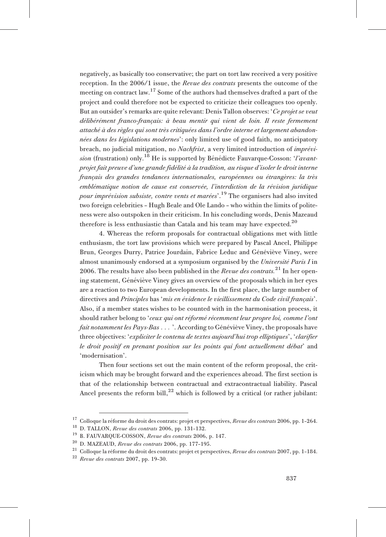negatively, as basically too conservative; the part on tort law received a very positive reception. In the 2006/1 issue, the Revue des contrats presents the outcome of the meeting on contract law.<sup>17</sup> Some of the authors had themselves drafted a part of the project and could therefore not be expected to criticize their colleagues too openly. But an outsider's remarks are quite relevant: Denis Tallon observes: 'Ce projet se veut délibérément franco-français: à beau mentir qui vient de loin. Il reste fermement attaché à des règles qui sont très critiquées dans l'ordre interne et largement abandonnées dans les législations modernes': only limited use of good faith, no anticipatory breach, no judicial mitigation, no Nachfrist, a very limited introduction of imprévision (frustration) only.<sup>18</sup> He is supported by Bénédicte Fauvarque-Cosson: 'l'avantprojet fait preuve d'une grande fidélité à la tradition, au risque d'isoler le droit interne français des grandes tendances internationales, européennes ou étrangères: la très emblématique notion de cause est conservée, l'interdiction de la révision juridique pour imprévision subsiste, contre vents et marées'.<sup>19</sup> The organisers had also invited two foreign celebrities – Hugh Beale and Ole Lando – who within the limits of politeness were also outspoken in their criticism. In his concluding words, Denis Mazeaud therefore is less enthusiastic than Catala and his team may have expected.<sup>20</sup>

4. Whereas the reform proposals for contractual obligations met with little enthusiasm, the tort law provisions which were prepared by Pascal Ancel, Philippe Brun, Georges Durry, Patrice Jourdain, Fabrice Leduc and Généviève Viney, were almost unanimously endorsed at a symposium organised by the Université Paris I in 2006. The results have also been published in the Revue des contrats.<sup>21</sup> In her opening statement, Généviève Viney gives an overview of the proposals which in her eyes are a reaction to two European developments. In the first place, the large number of directives and Principles has 'mis en évidence le vieillissement du Code civil français'. Also, if a member states wishes to be counted with in the harmonisation process, it should rather belong to 'ceux qui ont réformé récemment leur propre loi, comme l'ont fait notamment les Pays-Bas . . . '. According to Généviève Viney, the proposals have three objectives: 'expliciter le contenu de textes aujourd'hui trop elliptiques', 'clarifier le droit positif en prenant position sur les points qui font actuellement débat' and 'modernisation'.

Then four sections set out the main content of the reform proposal, the criticism which may be brought forward and the experiences abroad. The first section is that of the relationship between contractual and extracontractual liability. Pascal Ancel presents the reform bill, $^{22}$  which is followed by a critical (or rather jubilant:

<sup>&</sup>lt;sup>17</sup> Colloque la réforme du droit des contrats: projet et perspectives, Revue des contrats 2006, pp. 1-264.

<sup>18</sup> D. TALLON, Revue des contrats 2006, pp. 131–132.

<sup>&</sup>lt;sup>19</sup> B. FAUVARQUE-COSSON, Revue des contrats 2006, p. 147.

 $^{20}\,$  D. MAZEAUD,  $Revac\;des\;contrast\;2006,\,pp.\;177\mbox{--}195.$ 

<sup>&</sup>lt;sup>21</sup> Colloque la réforme du droit des contrats: projet et perspectives, Revue des contrats 2007, pp. 1-184.

<sup>22</sup> Revue des contrats 2007, pp. 19–30.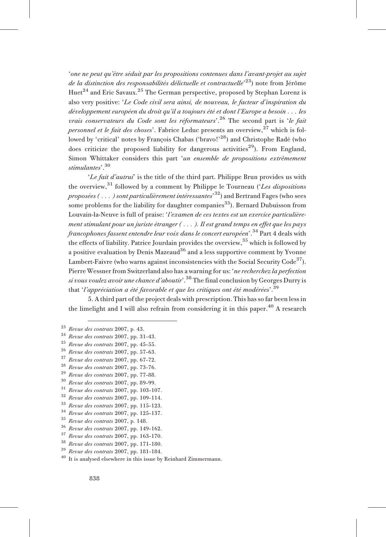'one ne peut qu'eˆtre se´duit par les propositions contenues dans l'avant-projet au sujet de la distinction des responsabilités délictuelle et contractuelle $^{\prime\rm 23})$  note from Jérôme Huet<sup>24</sup> and Eric Savaux.<sup>25</sup> The German perspective, proposed by Stephan Lorenz is also very positive: 'Le Code civil sera ainsi, de nouveau, le facteur d'inspiration du développement européen du droit qu'il a toujours été et dont l'Europe a besoin  $\dots$  les vrais conservateurs du Code sont les réformateurs'.<sup>26</sup> The second part is 'le fait *personnel et le fait des choses*'. Fabrice Leduc presents an overview,  $27$  which is followed by 'critical' notes by François Chabas ('bravo!'<sup>28</sup>) and Christophe Radé (who does criticize the proposed liability for dangerous activities<sup>29</sup>). From England, Simon Whittaker considers this part 'un ensemble de propositions extrêmement stimulantes'.<sup>30</sup>

'Le fait d'autrui' is the title of the third part. Philippe Brun provides us with the overview, $31$  followed by a comment by Philippe le Tourneau ('Les dispositions *proposées (*  $\ldots$  *) sont particulièrement intéressantes'*  $^{32}$ ) and Bertrand Fages (who sees some problems for the liability for daughter companies<sup>33</sup>). Bernard Dubuisson from Louvain-la-Neuve is full of praise: 'l'examen de ces textes est un exercice particulièrement stimulant pour un juriste étranger  $(\ldots)$ . Il est grand temps en effet que les pays  $f$ rancophones fassent entendre leur voix dans le concert européen'.<sup>34</sup> Part 4 deals with the effects of liability. Patrice Jourdain provides the overview,<sup>35</sup> which is followed by a positive evaluation by Denis Mazeaud<sup>36</sup> and a less supportive comment by Yvonne Lambert-Faivre (who warns against inconsistencies with the Social Security Code<sup>37</sup>). Pierre Wessner from Switzerland also has a warning for us: 'ne recherchez la perfection si vous voulez avoir une chance d'aboutir'.<sup>38</sup> The final conclusion by Georges Durry is that 'l'appréciation a été favorable et que les critiques ont été modérées'.<sup>39</sup>

5. A third part of the project deals with prescription. This has so far been less in the limelight and I will also refrain from considering it in this paper.<sup>40</sup> A research

- $26$  Revue des contrats 2007, pp. 57-63.
- $27$  Revue des contrats 2007, pp. 67-72.
- <sup>28</sup> Revue des contrats 2007, pp. 73–76.
- <sup>29</sup> Revue des contrats 2007, pp. 77–88.
- <sup>30</sup> Revue des contrats 2007, pp. 89–99.
- <sup>31</sup> Revue des contrats 2007, pp. 103–107.
- <sup>32</sup> Revue des contrats 2007, pp. 109–114.
- $\frac{33}{34}$  Revue des contrats 2007, pp. 115-123.<br> $\frac{34}{34}$  Revue des contrats 2007, pp. 125-137
- <sup>34</sup> Revue des contrats 2007, pp. 125–137.
- $35$  Revue des contrats 2007, p. 148.
- <sup>36</sup> Revue des contrats 2007, pp. 149–162.
- <sup>37</sup> Revue des contrats 2007, pp. 163–170.
- <sup>38</sup> Revue des contrats 2007, pp. 171–180.
- <sup>39</sup> Revue des contrats 2007, pp. 181–184.

 $23$  Revue des contrats 2007, p. 43.

 $24$  Revue des contrats 2007, pp. 31-43.

 $25$  Revue des contrats 2007, pp. 45-55.

<sup>40</sup> It is analysed elsewhere in this issue by Reinhard Zimmermann.